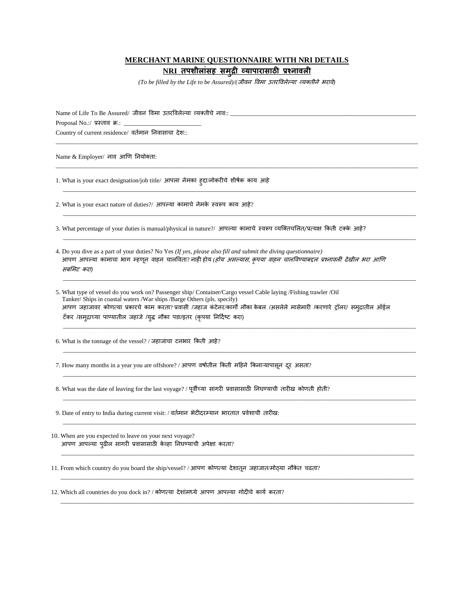## **MERCHANT MARINE QUESTIONNAIRE WITH NRI DETAILS**

**NRI तपशीलाांसह समुद्री व्यापारासाठी प्रश्नावली**

*(To be filled by the Life to be Assured)/(*जीवन ववमा उतरववलेल्या व्यक्तीने भरावे*)*

 $\_$  ,  $\_$  ,  $\_$  ,  $\_$  ,  $\_$  ,  $\_$  ,  $\_$  ,  $\_$  ,  $\_$  ,  $\_$  ,  $\_$  ,  $\_$  ,  $\_$  ,  $\_$  ,  $\_$  ,  $\_$  ,  $\_$  ,  $\_$  ,  $\_$  ,  $\_$  ,  $\_$  ,  $\_$  ,  $\_$  ,  $\_$  ,  $\_$  ,  $\_$  ,  $\_$  ,  $\_$  ,  $\_$  ,  $\_$  ,  $\_$  ,  $\_$  ,  $\_$  ,  $\_$  ,  $\_$  ,  $\_$  ,  $\_$  ,

\_\_\_\_\_\_\_\_\_\_\_\_\_\_\_\_\_\_\_\_\_\_\_\_\_\_\_\_\_\_\_\_\_\_\_\_\_\_\_\_\_\_\_\_\_\_\_\_\_\_\_\_\_\_\_\_\_\_\_\_\_\_\_\_\_\_\_\_\_\_\_\_\_\_\_\_\_\_\_\_\_\_\_\_\_\_\_\_\_\_\_\_\_\_\_\_\_\_\_\_\_\_\_\_\_\_\_\_\_\_\_\_\_\_\_\_\_

\_\_\_\_\_\_\_\_\_\_\_\_\_\_\_\_\_\_\_\_\_\_\_\_\_\_\_\_\_\_\_\_\_\_\_\_\_\_\_\_\_\_\_\_\_\_\_\_\_\_\_\_\_\_\_\_\_\_\_\_\_\_\_\_\_\_\_\_\_\_\_\_\_\_\_\_\_\_\_\_\_\_\_\_\_\_\_\_\_\_\_\_\_\_\_\_\_\_\_\_\_\_\_\_\_\_\_\_\_\_\_\_\_\_

\_\_\_\_\_\_\_\_\_\_\_\_\_\_\_\_\_\_\_\_\_\_\_\_\_\_\_\_\_\_\_\_\_\_\_\_\_\_\_\_\_\_\_\_\_\_\_\_\_\_\_\_\_\_\_\_\_\_\_\_\_\_\_\_\_\_\_\_\_\_\_\_\_\_\_\_\_\_\_\_\_\_\_\_\_\_\_\_\_\_\_\_\_\_\_\_\_\_\_\_\_\_\_\_\_\_\_\_\_\_\_\_\_\_

\_\_\_\_\_\_\_\_\_\_\_\_\_\_\_\_\_\_\_\_\_\_\_\_\_\_\_\_\_\_\_\_\_\_\_\_\_\_\_\_\_\_\_\_\_\_\_\_\_\_\_\_\_\_\_\_\_\_\_\_\_\_\_\_\_\_\_\_\_\_\_\_\_\_\_\_\_\_\_\_\_\_\_\_\_\_\_\_\_\_\_\_\_\_\_\_\_\_\_\_\_\_\_\_\_\_\_\_\_\_\_\_\_\_

\_\_\_\_\_\_\_\_\_\_\_\_\_\_\_\_\_\_\_\_\_\_\_\_\_\_\_\_\_\_\_\_\_\_\_\_\_\_\_\_\_\_\_\_\_\_\_\_\_\_\_\_\_\_\_\_\_\_\_\_\_\_\_\_\_\_\_\_\_\_\_\_\_\_\_\_\_\_\_\_\_\_\_\_\_\_\_\_\_\_\_\_\_\_\_\_\_\_\_\_\_\_\_\_\_\_\_\_\_\_\_\_\_\_

\_\_\_\_\_\_\_\_\_\_\_\_\_\_\_\_\_\_\_\_\_\_\_\_\_\_\_\_\_\_\_\_\_\_\_\_\_\_\_\_\_\_\_\_\_\_\_\_\_\_\_\_\_\_\_\_\_\_\_\_\_\_\_\_\_\_\_\_\_\_\_\_\_\_\_\_\_\_\_\_\_\_\_\_\_\_\_\_\_\_\_\_\_\_\_\_\_\_\_\_\_\_\_\_\_\_\_\_\_\_\_\_\_\_

\_\_\_\_\_\_\_\_\_\_\_\_\_\_\_\_\_\_\_\_\_\_\_\_\_\_\_\_\_\_\_\_\_\_\_\_\_\_\_\_\_\_\_\_\_\_\_\_\_\_\_\_\_\_\_\_\_\_\_\_\_\_\_\_\_\_\_\_\_\_\_\_\_\_\_\_\_\_\_\_\_\_\_\_\_\_\_\_\_\_\_\_\_\_\_\_\_\_\_\_\_\_\_\_\_\_\_\_\_\_\_\_\_\_

\_\_\_\_\_\_\_\_\_\_\_\_\_\_\_\_\_\_\_\_\_\_\_\_\_\_\_\_\_\_\_\_\_\_\_\_\_\_\_\_\_\_\_\_\_\_\_\_\_\_\_\_\_\_\_\_\_\_\_\_\_\_\_\_\_\_\_\_\_\_\_\_\_\_\_\_\_\_\_\_\_\_\_\_\_\_\_\_\_\_\_\_\_\_\_\_\_\_\_\_\_\_\_\_\_\_\_\_\_\_\_\_\_\_

\_\_\_\_\_\_\_\_\_\_\_\_\_\_\_\_\_\_\_\_\_\_\_\_\_\_\_\_\_\_\_\_\_\_\_\_\_\_\_\_\_\_\_\_\_\_\_\_\_\_\_\_\_\_\_\_\_\_\_\_\_\_\_\_\_\_\_\_\_\_\_\_\_\_\_\_\_\_\_\_\_\_\_\_\_\_\_\_\_\_\_\_\_\_\_\_\_\_\_\_\_\_\_\_\_\_\_\_\_\_\_\_\_\_

\_\_\_\_\_\_\_\_\_\_\_\_\_\_\_\_\_\_\_\_\_\_\_\_\_\_\_\_\_\_\_\_\_\_\_\_\_\_\_\_\_\_\_\_\_\_\_\_\_\_\_\_\_\_\_\_\_\_\_\_\_\_\_\_\_\_\_\_\_\_\_\_\_\_\_\_\_\_\_\_\_\_\_\_\_\_\_\_\_\_\_\_\_\_\_\_\_\_\_\_\_\_\_\_\_\_\_\_\_\_\_\_\_\_

\_\_\_\_\_\_\_\_\_\_\_\_\_\_\_\_\_\_\_\_\_\_\_\_\_\_\_\_\_\_\_\_\_\_\_\_\_\_\_\_\_\_\_\_\_\_\_\_\_\_\_\_\_\_\_\_\_\_\_\_\_\_\_\_\_\_\_\_\_\_\_\_\_\_\_\_\_\_\_\_\_\_\_\_\_\_\_\_\_\_\_\_\_\_\_\_\_\_\_\_\_\_\_\_\_\_\_\_\_\_\_\_\_\_

\_\_\_\_\_\_\_\_\_\_\_\_\_\_\_\_\_\_\_\_\_\_\_\_\_\_\_\_\_\_\_\_\_\_\_\_\_\_\_\_\_\_\_\_\_\_\_\_\_\_\_\_\_\_\_\_\_\_\_\_\_\_\_\_\_\_\_\_\_\_\_\_\_\_\_\_\_\_\_\_\_\_\_\_\_\_\_\_\_\_\_\_\_\_\_\_\_\_\_\_\_\_\_\_\_\_\_\_\_\_\_\_\_\_

 $\_$  ,  $\_$  ,  $\_$  ,  $\_$  ,  $\_$  ,  $\_$  ,  $\_$  ,  $\_$  ,  $\_$  ,  $\_$  ,  $\_$  ,  $\_$  ,  $\_$  ,  $\_$  ,  $\_$  ,  $\_$  ,  $\_$  ,  $\_$  ,  $\_$  ,  $\_$  ,  $\_$  ,  $\_$  ,  $\_$  ,  $\_$  ,  $\_$  ,  $\_$  ,  $\_$  ,  $\_$  ,  $\_$  ,  $\_$  ,  $\_$  ,  $\_$  ,  $\_$  ,  $\_$  ,  $\_$  ,  $\_$  ,  $\_$  ,

Name of Life To Be Assured/ जीवन विमा उतरविलेल्या व्यक्तीचे नाव::

Proposal No.:/ प्रस्ताव क्र.:

Country of current residence/ वर्तमान निवासाचा देश::

Name & Employer/ नाव आणि ननयोक्ता:

1. What is your exact designation/job title/ आपला नेमका हुद्दा/नोकरीचे शीर्तक काय आहे

2. What is your exact nature of duties?/ आपल्या कामाचे नेमके स्वरूप काय आहे?

3. What percentage of your duties is manual/physical in nature?/ आपल्या कामाचे स्वरूप व्यक्क्तचललत/प्रत्यक्ष ककती टक्के आहे?

- 4. Do you dive as a part of your duties? No Yes *(If yes, please also fill and submit the diving questionnaire)*  आपण आपल्या कामाचा भाग म्हणून वाहन चालविता? नाही होय *(होय असल्यास, कृपया वाहन चालविण्याबद्दल प्रश्नावली देखील भरा आणि* सबलमट करा*)*
- 5. What type of vessel do you work on? Passenger ship/ Container/Cargo vessel Cable laying /Fishing trawler /Oil Tanker/ Ships in coastal waters /War ships /Barge Others (pls. specify) आपण जहाजावर कोणत्या प्रकारचे काम करता? प्रवासी /जहाज कंटेनर/कार्गो नौका केबल /असलेले मासेमारी /करणारे ट्रॉलर/ समद्रातील ऑईल टँकर /समुद्राच्या पाण्यातील जहाजे /युद्ध नौका पडा/इतर (कृपया निर्दिष्ट करा)

6. What is the tonnage of the vessel? / जहाजाचा टनभार ककती आहे?

7. How many months in a year you are offshore? / आपण वर्षातील किती महिने किनाऱ्यापासून दूर असता?

8. What was the date of leaving for the last voyage? / पूर्वीच्या सागरी प्रवासासाठी निघण्याची तारीख कोणती होती?

9. Date of entry to India during current visit: / वततमान भेटीदरम्यान भारतात प्रवेशाची तारील:

10. When are you expected to leave on your next voyage? आपि आपल्या पुढील सागरी प्रवासासाठी केव्हा ननघण्याची अपेक्षा करता?

11. From which country do you board the ship/vessel? / आपण कोणत्या देशातून जहाजात/मोठ्या नौकेत चढता?

12. Which all countries do you dock in? / कोणत्या देशांमध्ये आपण आपल्या गोदीचे कार्य करता?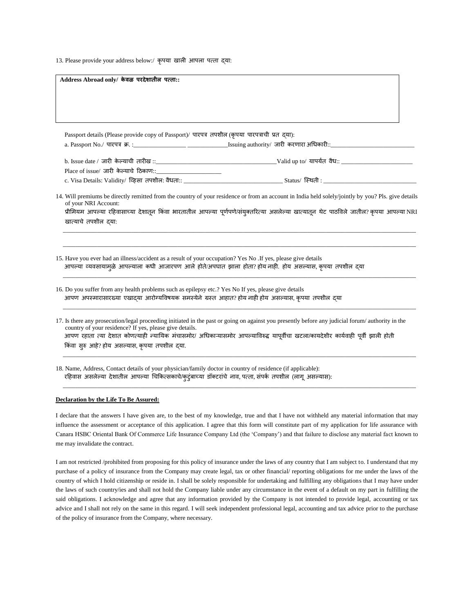13. Please provide your address below:/ कृपया लाली आपला पत्ता द्या:

| Address Abroad only/ केवळ परदेशातील पत्ता::                                                                    |                                                                                                                                                                                                                                                                                                |  |  |  |
|----------------------------------------------------------------------------------------------------------------|------------------------------------------------------------------------------------------------------------------------------------------------------------------------------------------------------------------------------------------------------------------------------------------------|--|--|--|
|                                                                                                                |                                                                                                                                                                                                                                                                                                |  |  |  |
|                                                                                                                |                                                                                                                                                                                                                                                                                                |  |  |  |
| Passport details (Please provide copy of Passport)/ पारपत्र तपशील (कृपया पारपत्राची प्रत दया):                 |                                                                                                                                                                                                                                                                                                |  |  |  |
|                                                                                                                |                                                                                                                                                                                                                                                                                                |  |  |  |
|                                                                                                                |                                                                                                                                                                                                                                                                                                |  |  |  |
|                                                                                                                |                                                                                                                                                                                                                                                                                                |  |  |  |
| of your NRI Account:<br>खात्याचे तपशील दया:                                                                    | 14. Will premiums be directly remitted from the country of your residence or from an account in India held solely/jointly by you? Pls. give details<br>प्रीमियम आपल्या रहिवासाच्या देशातून किंवा भारतातील आपल्या पूर्णपणे/संयुक्तरित्या असलेल्या खात्यातून थेट पाठविले जातील? कृपया आपल्या NRI |  |  |  |
| 15. Have you ever had an illness/accident as a result of your occupation? Yes No . If yes, please give details | आपल्या व्यवसायामुळे आपल्याला कधी आजारपण आले होते/अपघात झाला होता? होय नाही. होय असल्यास, कृपया तपशील द्या                                                                                                                                                                                      |  |  |  |
|                                                                                                                |                                                                                                                                                                                                                                                                                                |  |  |  |
| 16. Do you suffer from any health problems such as epilepsy etc.? Yes No If yes, please give details           | आपण अपस्मारासारख्या एखादया आरोग्यविषयक समस्येने ग्रस्त आहात? होय नाही होय असल्यास, कृपया तपशील दया                                                                                                                                                                                             |  |  |  |

18. Name, Address, Contact details of your physician/family doctor in country of residence (if applicable): रहिवास असलेल्या देशातील आपल्या चिकित्सकाचे/कुटुंबाच्या डॉक्टरांचे नाव, पत्ता, संपर्क तपशील (लागू असल्यास):

## **Declaration by the Life To Be Assured:**

I declare that the answers I have given are, to the best of my knowledge, true and that I have not withheld any material information that may influence the assessment or acceptance of this application. I agree that this form will constitute part of my application for life assurance with Canara HSBC Oriental Bank Of Commerce Life Insurance Company Ltd (the 'Company') and that failure to disclose any material fact known to me may invalidate the contract.

\_\_\_\_\_\_\_\_\_\_\_\_\_\_\_\_\_\_\_\_\_\_\_\_\_\_\_\_\_\_\_\_\_\_\_\_\_\_\_\_\_\_\_\_\_\_\_\_\_\_\_\_\_\_\_\_\_\_\_\_\_\_\_\_\_\_\_\_\_\_\_\_\_\_\_\_\_\_\_\_\_\_\_\_\_\_\_\_\_\_\_\_\_\_\_\_\_\_\_\_\_\_\_\_\_\_\_\_\_\_\_\_\_\_

I am not restricted /prohibited from proposing for this policy of insurance under the laws of any country that I am subject to. I understand that my purchase of a policy of insurance from the Company may create legal, tax or other financial/ reporting obligations for me under the laws of the country of which I hold citizenship or reside in. I shall be solely responsible for undertaking and fulfilling any obligations that I may have under the laws of such country/ies and shall not hold the Company liable under any circumstance in the event of a default on my part in fulfilling the said obligations. I acknowledge and agree that any information provided by the Company is not intended to provide legal, accounting or tax advice and I shall not rely on the same in this regard. I will seek independent professional legal, accounting and tax advice prior to the purchase of the policy of insurance from the Company, where necessary.